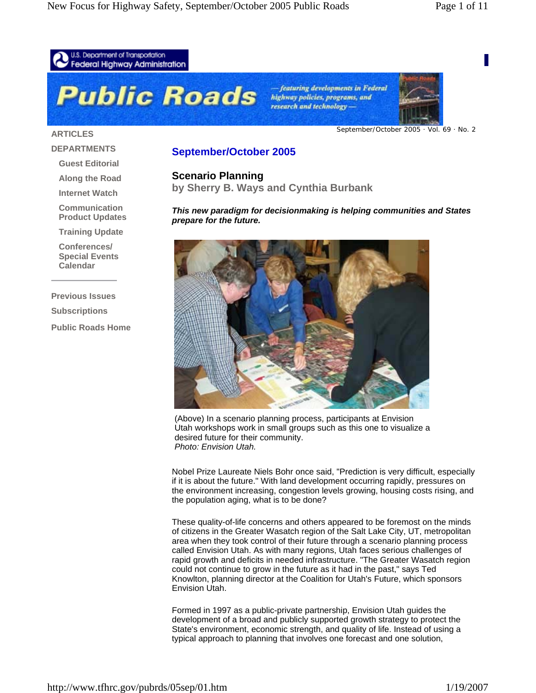

#### **ARTICLES**

September/October 2005 · Vol. 69 · No. 2

#### **DEPARTMENTS**

**Guest Editorial**

**Along the Road**

**Internet Watch**

**Communication Product Updates**

**Training Update**

**Conferences/ Special Events Calendar**

**Previous Issues Subscriptions Public Roads Home**

# **September/October 2005**

**Scenario Planning**

**by Sherry B. Ways and Cynthia Burbank** 

*This new paradigm for decisionmaking is helping communities and States prepare for the future.* 



(Above) In a scenario planning process, participants at Envision Utah workshops work in small groups such as this one to visualize a desired future for their community. *Photo: Envision Utah.*

Nobel Prize Laureate Niels Bohr once said, "Prediction is very difficult, especially if it is about the future." With land development occurring rapidly, pressures on the environment increasing, congestion levels growing, housing costs rising, and the population aging, what is to be done?

These quality-of-life concerns and others appeared to be foremost on the minds of citizens in the Greater Wasatch region of the Salt Lake City, UT, metropolitan area when they took control of their future through a scenario planning process called Envision Utah. As with many regions, Utah faces serious challenges of rapid growth and deficits in needed infrastructure. "The Greater Wasatch region could not continue to grow in the future as it had in the past," says Ted Knowlton, planning director at the Coalition for Utah's Future, which sponsors Envision Utah.

Formed in 1997 as a public-private partnership, Envision Utah guides the development of a broad and publicly supported growth strategy to protect the State's environment, economic strength, and quality of life. Instead of using a typical approach to planning that involves one forecast and one solution,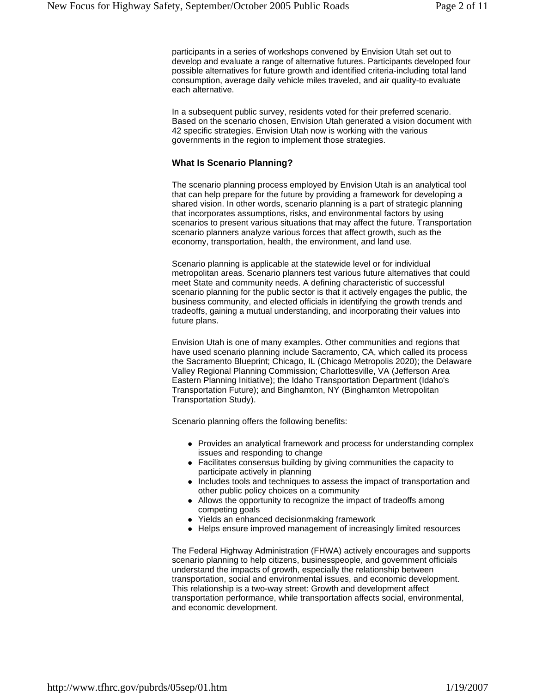participants in a series of workshops convened by Envision Utah set out to develop and evaluate a range of alternative futures. Participants developed four possible alternatives for future growth and identified criteria-including total land consumption, average daily vehicle miles traveled, and air quality-to evaluate each alternative.

In a subsequent public survey, residents voted for their preferred scenario. Based on the scenario chosen, Envision Utah generated a vision document with 42 specific strategies. Envision Utah now is working with the various governments in the region to implement those strategies.

#### **What Is Scenario Planning?**

The scenario planning process employed by Envision Utah is an analytical tool that can help prepare for the future by providing a framework for developing a shared vision. In other words, scenario planning is a part of strategic planning that incorporates assumptions, risks, and environmental factors by using scenarios to present various situations that may affect the future. Transportation scenario planners analyze various forces that affect growth, such as the economy, transportation, health, the environment, and land use.

Scenario planning is applicable at the statewide level or for individual metropolitan areas. Scenario planners test various future alternatives that could meet State and community needs. A defining characteristic of successful scenario planning for the public sector is that it actively engages the public, the business community, and elected officials in identifying the growth trends and tradeoffs, gaining a mutual understanding, and incorporating their values into future plans.

Envision Utah is one of many examples. Other communities and regions that have used scenario planning include Sacramento, CA, which called its process the Sacramento Blueprint; Chicago, IL (Chicago Metropolis 2020); the Delaware Valley Regional Planning Commission; Charlottesville, VA (Jefferson Area Eastern Planning Initiative); the Idaho Transportation Department (Idaho's Transportation Future); and Binghamton, NY (Binghamton Metropolitan Transportation Study).

Scenario planning offers the following benefits:

- Provides an analytical framework and process for understanding complex issues and responding to change
- Facilitates consensus building by giving communities the capacity to participate actively in planning
- Includes tools and techniques to assess the impact of transportation and other public policy choices on a community
- Allows the opportunity to recognize the impact of tradeoffs among competing goals
- Yields an enhanced decisionmaking framework
- Helps ensure improved management of increasingly limited resources

The Federal Highway Administration (FHWA) actively encourages and supports scenario planning to help citizens, businesspeople, and government officials understand the impacts of growth, especially the relationship between transportation, social and environmental issues, and economic development. This relationship is a two-way street: Growth and development affect transportation performance, while transportation affects social, environmental, and economic development.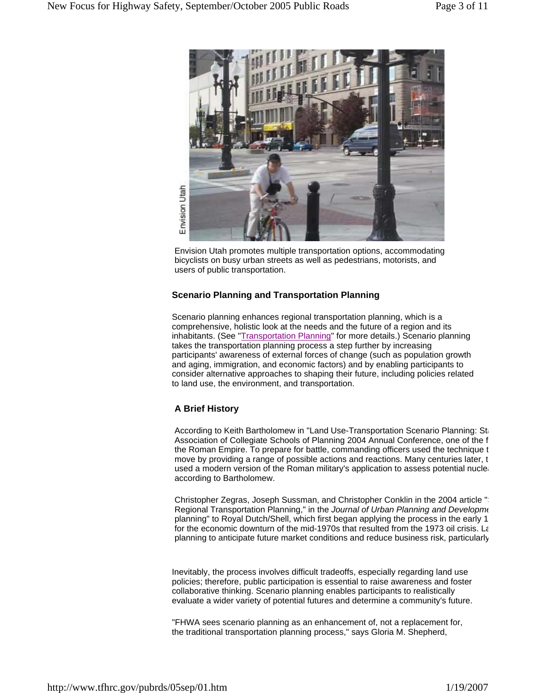

Envision Utah promotes multiple transportation options, accommodating bicyclists on busy urban streets as well as pedestrians, motorists, and users of public transportation.

## **Scenario Planning and Transportation Planning**

Scenario planning enhances regional transportation planning, which is a comprehensive, holistic look at the needs and the future of a region and its inhabitants. (See "Transportation Planning" for more details.) Scenario planning takes the transportation planning process a step further by increasing participants' awareness of external forces of change (such as population growth and aging, immigration, and economic factors) and by enabling participants to consider alternative approaches to shaping their future, including policies related to land use, the environment, and transportation.

# **A Brief History**

According to Keith Bartholomew in "Land Use-Transportation Scenario Planning: Sta Association of Collegiate Schools of Planning 2004 Annual Conference, one of the f the Roman Empire. To prepare for battle, commanding officers used the technique t move by providing a range of possible actions and reactions. Many centuries later, t used a modern version of the Roman military's application to assess potential nuclear according to Bartholomew.

Christopher Zegras, Joseph Sussman, and Christopher Conklin in the 2004 article " Regional Transportation Planning," in the *Journal of Urban Planning and Developme* planning" to Royal Dutch/Shell, which first began applying the process in the early 1 for the economic downturn of the mid-1970s that resulted from the 1973 oil crisis. La planning to anticipate future market conditions and reduce business risk, particularly

Inevitably, the process involves difficult tradeoffs, especially regarding land use policies; therefore, public participation is essential to raise awareness and foster collaborative thinking. Scenario planning enables participants to realistically evaluate a wider variety of potential futures and determine a community's future.

"FHWA sees scenario planning as an enhancement of, not a replacement for, the traditional transportation planning process," says Gloria M. Shepherd,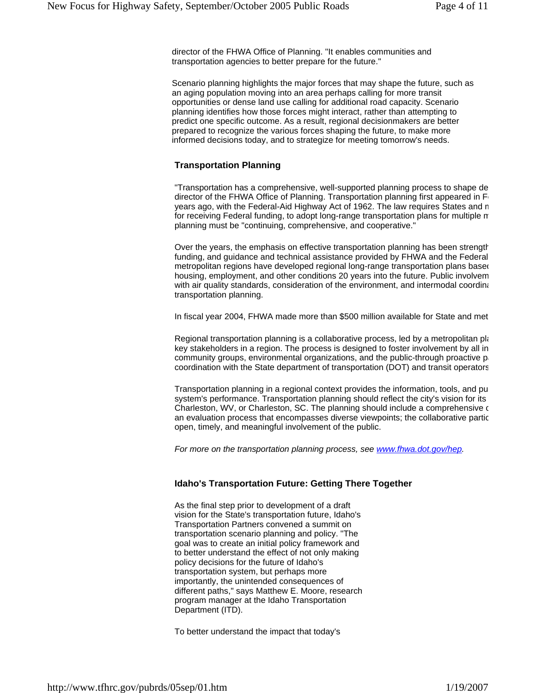director of the FHWA Office of Planning. "It enables communities and transportation agencies to better prepare for the future."

Scenario planning highlights the major forces that may shape the future, such as an aging population moving into an area perhaps calling for more transit opportunities or dense land use calling for additional road capacity. Scenario planning identifies how those forces might interact, rather than attempting to predict one specific outcome. As a result, regional decisionmakers are better prepared to recognize the various forces shaping the future, to make more informed decisions today, and to strategize for meeting tomorrow's needs.

## **Transportation Planning**

"Transportation has a comprehensive, well-supported planning process to shape de director of the FHWA Office of Planning. Transportation planning first appeared in F years ago, with the Federal-Aid Highway Act of 1962. The law requires States and m for receiving Federal funding, to adopt long-range transportation plans for multiple m planning must be "continuing, comprehensive, and cooperative."

Over the years, the emphasis on effective transportation planning has been strength funding, and guidance and technical assistance provided by FHWA and the Federal metropolitan regions have developed regional long-range transportation plans based housing, employment, and other conditions 20 years into the future. Public involvem with air quality standards, consideration of the environment, and intermodal coordina transportation planning.

In fiscal year 2004, FHWA made more than \$500 million available for State and met

Regional transportation planning is a collaborative process, led by a metropolitan plan key stakeholders in a region. The process is designed to foster involvement by all in community groups, environmental organizations, and the public-through proactive  $p_i$ coordination with the State department of transportation (DOT) and transit operators

Transportation planning in a regional context provides the information, tools, and pu system's performance. Transportation planning should reflect the city's vision for its Charleston, WV, or Charleston, SC. The planning should include a comprehensive c an evaluation process that encompasses diverse viewpoints; the collaborative partic open, timely, and meaningful involvement of the public.

*For more on the transportation planning process, see www.fhwa.dot.gov/hep.*

# **Idaho's Transportation Future: Getting There Together**

As the final step prior to development of a draft vision for the State's transportation future, Idaho's Transportation Partners convened a summit on transportation scenario planning and policy. "The goal was to create an initial policy framework and to better understand the effect of not only making policy decisions for the future of Idaho's transportation system, but perhaps more importantly, the unintended consequences of different paths," says Matthew E. Moore, research program manager at the Idaho Transportation Department (ITD).

To better understand the impact that today's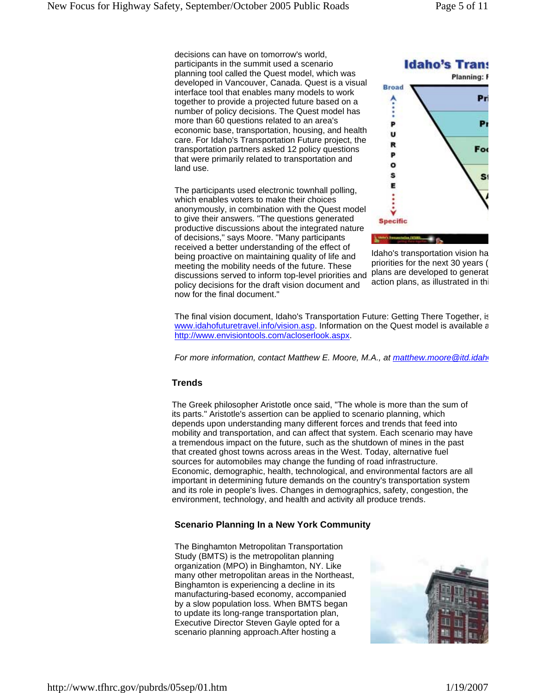decisions can have on tomorrow's world, participants in the summit used a scenario planning tool called the Quest model, which was developed in Vancouver, Canada. Quest is a visual interface tool that enables many models to work together to provide a projected future based on a number of policy decisions. The Quest model has more than 60 questions related to an area's economic base, transportation, housing, and health care. For Idaho's Transportation Future project, the transportation partners asked 12 policy questions that were primarily related to transportation and land use.

The participants used electronic townhall polling, which enables voters to make their choices anonymously, in combination with the Quest model to give their answers. "The questions generated productive discussions about the integrated nature of decisions," says Moore. "Many participants received a better understanding of the effect of being proactive on maintaining quality of life and meeting the mobility needs of the future. These discussions served to inform top-level priorities and policy decisions for the draft vision document and now for the final document."



Idaho's transportation vision ha priorities for the next 30 years ( plans are developed to generat action plans, as illustrated in thi

The final vision document, Idaho's Transportation Future: Getting There Together, is www.idahofuturetravel.info/vision.asp. Information on the Quest model is available a http://www.envisiontools.com/acloserlook.aspx.

*For more information, contact Matthew E. Moore, M.A., at matthew.moore@itd.idah* 

# **Trends**

The Greek philosopher Aristotle once said, "The whole is more than the sum of its parts." Aristotle's assertion can be applied to scenario planning, which depends upon understanding many different forces and trends that feed into mobility and transportation, and can affect that system. Each scenario may have a tremendous impact on the future, such as the shutdown of mines in the past that created ghost towns across areas in the West. Today, alternative fuel sources for automobiles may change the funding of road infrastructure. Economic, demographic, health, technological, and environmental factors are all important in determining future demands on the country's transportation system and its role in people's lives. Changes in demographics, safety, congestion, the environment, technology, and health and activity all produce trends.

# **Scenario Planning In a New York Community**

The Binghamton Metropolitan Transportation Study (BMTS) is the metropolitan planning organization (MPO) in Binghamton, NY. Like many other metropolitan areas in the Northeast, Binghamton is experiencing a decline in its manufacturing-based economy, accompanied by a slow population loss. When BMTS began to update its long-range transportation plan, Executive Director Steven Gayle opted for a scenario planning approach.After hosting a

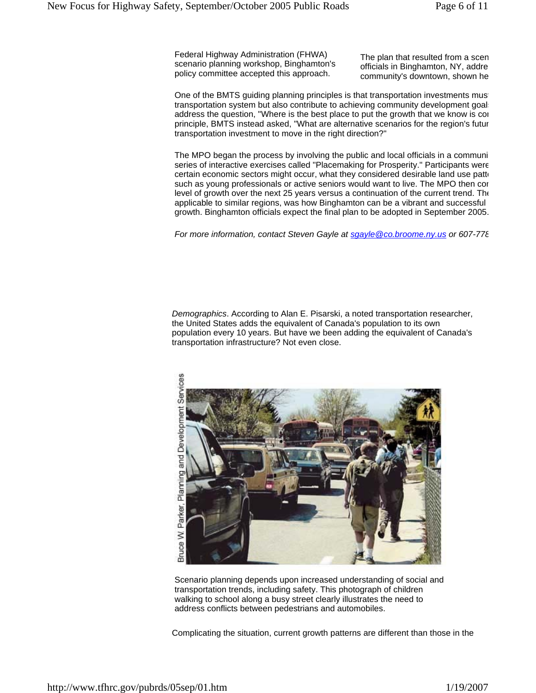Federal Highway Administration (FHWA) scenario planning workshop, Binghamton's policy committee accepted this approach.

The plan that resulted from a scen officials in Binghamton, NY, addre community's downtown, shown he

One of the BMTS guiding planning principles is that transportation investments must transportation system but also contribute to achieving community development goals address the question, "Where is the best place to put the growth that we know is cor principle, BMTS instead asked, "What are alternative scenarios for the region's futur transportation investment to move in the right direction?"

The MPO began the process by involving the public and local officials in a communi series of interactive exercises called "Placemaking for Prosperity." Participants were certain economic sectors might occur, what they considered desirable land use patto such as young professionals or active seniors would want to live. The MPO then con level of growth over the next 25 years versus a continuation of the current trend. The applicable to similar regions, was how Binghamton can be a vibrant and successful growth. Binghamton officials expect the final plan to be adopted in September 2005.

*For more information, contact Steven Gayle at sgayle@co.broome.ny.us or 607-778*

*Demographics*. According to Alan E. Pisarski, a noted transportation researcher, the United States adds the equivalent of Canada's population to its own population every 10 years. But have we been adding the equivalent of Canada's transportation infrastructure? Not even close.



Scenario planning depends upon increased understanding of social and transportation trends, including safety. This photograph of children walking to school along a busy street clearly illustrates the need to address conflicts between pedestrians and automobiles.

Complicating the situation, current growth patterns are different than those in the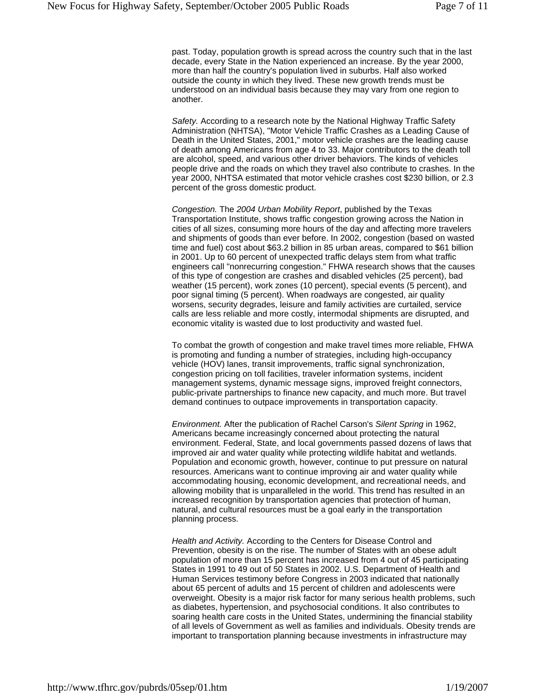past. Today, population growth is spread across the country such that in the last decade, every State in the Nation experienced an increase. By the year 2000, more than half the country's population lived in suburbs. Half also worked outside the county in which they lived. These new growth trends must be understood on an individual basis because they may vary from one region to another.

*Safety.* According to a research note by the National Highway Traffic Safety Administration (NHTSA), "Motor Vehicle Traffic Crashes as a Leading Cause of Death in the United States, 2001," motor vehicle crashes are the leading cause of death among Americans from age 4 to 33. Major contributors to the death toll are alcohol, speed, and various other driver behaviors. The kinds of vehicles people drive and the roads on which they travel also contribute to crashes. In the year 2000, NHTSA estimated that motor vehicle crashes cost \$230 billion, or 2.3 percent of the gross domestic product.

*Congestion.* The *2004 Urban Mobility Report*, published by the Texas Transportation Institute, shows traffic congestion growing across the Nation in cities of all sizes, consuming more hours of the day and affecting more travelers and shipments of goods than ever before. In 2002, congestion (based on wasted time and fuel) cost about \$63.2 billion in 85 urban areas, compared to \$61 billion in 2001. Up to 60 percent of unexpected traffic delays stem from what traffic engineers call "nonrecurring congestion." FHWA research shows that the causes of this type of congestion are crashes and disabled vehicles (25 percent), bad weather (15 percent), work zones (10 percent), special events (5 percent), and poor signal timing (5 percent). When roadways are congested, air quality worsens, security degrades, leisure and family activities are curtailed, service calls are less reliable and more costly, intermodal shipments are disrupted, and economic vitality is wasted due to lost productivity and wasted fuel.

To combat the growth of congestion and make travel times more reliable, FHWA is promoting and funding a number of strategies, including high-occupancy vehicle (HOV) lanes, transit improvements, traffic signal synchronization, congestion pricing on toll facilities, traveler information systems, incident management systems, dynamic message signs, improved freight connectors, public-private partnerships to finance new capacity, and much more. But travel demand continues to outpace improvements in transportation capacity.

*Environment.* After the publication of Rachel Carson's *Silent Spring* in 1962, Americans became increasingly concerned about protecting the natural environment. Federal, State, and local governments passed dozens of laws that improved air and water quality while protecting wildlife habitat and wetlands. Population and economic growth, however, continue to put pressure on natural resources. Americans want to continue improving air and water quality while accommodating housing, economic development, and recreational needs, and allowing mobility that is unparalleled in the world. This trend has resulted in an increased recognition by transportation agencies that protection of human, natural, and cultural resources must be a goal early in the transportation planning process.

*Health and Activity.* According to the Centers for Disease Control and Prevention, obesity is on the rise. The number of States with an obese adult population of more than 15 percent has increased from 4 out of 45 participating States in 1991 to 49 out of 50 States in 2002. U.S. Department of Health and Human Services testimony before Congress in 2003 indicated that nationally about 65 percent of adults and 15 percent of children and adolescents were overweight. Obesity is a major risk factor for many serious health problems, such as diabetes, hypertension, and psychosocial conditions. It also contributes to soaring health care costs in the United States, undermining the financial stability of all levels of Government as well as families and individuals. Obesity trends are important to transportation planning because investments in infrastructure may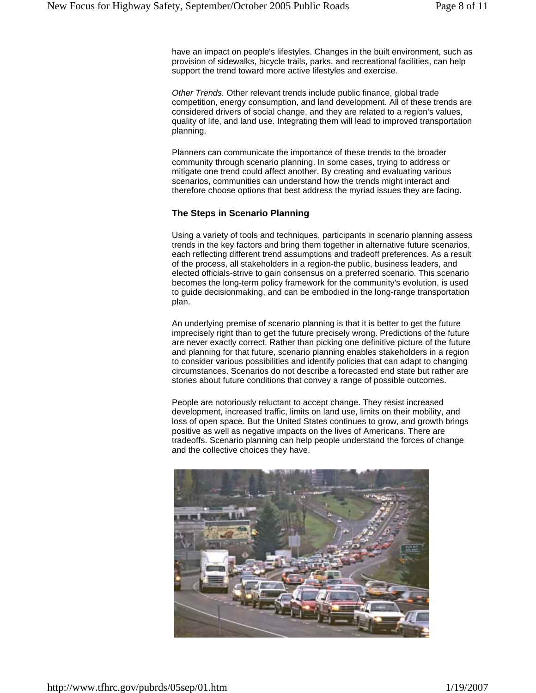have an impact on people's lifestyles. Changes in the built environment, such as provision of sidewalks, bicycle trails, parks, and recreational facilities, can help support the trend toward more active lifestyles and exercise.

*Other Trends.* Other relevant trends include public finance, global trade competition, energy consumption, and land development. All of these trends are considered drivers of social change, and they are related to a region's values, quality of life, and land use. Integrating them will lead to improved transportation planning.

Planners can communicate the importance of these trends to the broader community through scenario planning. In some cases, trying to address or mitigate one trend could affect another. By creating and evaluating various scenarios, communities can understand how the trends might interact and therefore choose options that best address the myriad issues they are facing.

## **The Steps in Scenario Planning**

Using a variety of tools and techniques, participants in scenario planning assess trends in the key factors and bring them together in alternative future scenarios, each reflecting different trend assumptions and tradeoff preferences. As a result of the process, all stakeholders in a region-the public, business leaders, and elected officials-strive to gain consensus on a preferred scenario. This scenario becomes the long-term policy framework for the community's evolution, is used to guide decisionmaking, and can be embodied in the long-range transportation plan.

An underlying premise of scenario planning is that it is better to get the future imprecisely right than to get the future precisely wrong. Predictions of the future are never exactly correct. Rather than picking one definitive picture of the future and planning for that future, scenario planning enables stakeholders in a region to consider various possibilities and identify policies that can adapt to changing circumstances. Scenarios do not describe a forecasted end state but rather are stories about future conditions that convey a range of possible outcomes.

People are notoriously reluctant to accept change. They resist increased development, increased traffic, limits on land use, limits on their mobility, and loss of open space. But the United States continues to grow, and growth brings positive as well as negative impacts on the lives of Americans. There are tradeoffs. Scenario planning can help people understand the forces of change and the collective choices they have.

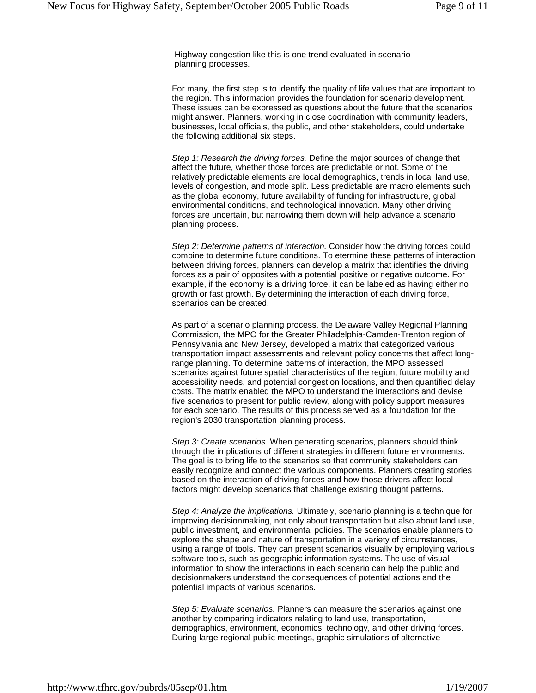Highway congestion like this is one trend evaluated in scenario planning processes.

For many, the first step is to identify the quality of life values that are important to the region. This information provides the foundation for scenario development. These issues can be expressed as questions about the future that the scenarios might answer. Planners, working in close coordination with community leaders, businesses, local officials, the public, and other stakeholders, could undertake the following additional six steps.

*Step 1: Research the driving forces.* Define the major sources of change that affect the future, whether those forces are predictable or not. Some of the relatively predictable elements are local demographics, trends in local land use, levels of congestion, and mode split. Less predictable are macro elements such as the global economy, future availability of funding for infrastructure, global environmental conditions, and technological innovation. Many other driving forces are uncertain, but narrowing them down will help advance a scenario planning process.

*Step 2: Determine patterns of interaction.* Consider how the driving forces could combine to determine future conditions. To etermine these patterns of interaction between driving forces, planners can develop a matrix that identifies the driving forces as a pair of opposites with a potential positive or negative outcome. For example, if the economy is a driving force, it can be labeled as having either no growth or fast growth. By determining the interaction of each driving force, scenarios can be created.

As part of a scenario planning process, the Delaware Valley Regional Planning Commission, the MPO for the Greater Philadelphia-Camden-Trenton region of Pennsylvania and New Jersey, developed a matrix that categorized various transportation impact assessments and relevant policy concerns that affect longrange planning. To determine patterns of interaction, the MPO assessed scenarios against future spatial characteristics of the region, future mobility and accessibility needs, and potential congestion locations, and then quantified delay costs. The matrix enabled the MPO to understand the interactions and devise five scenarios to present for public review, along with policy support measures for each scenario. The results of this process served as a foundation for the region's 2030 transportation planning process.

*Step 3: Create scenarios.* When generating scenarios, planners should think through the implications of different strategies in different future environments. The goal is to bring life to the scenarios so that community stakeholders can easily recognize and connect the various components. Planners creating stories based on the interaction of driving forces and how those drivers affect local factors might develop scenarios that challenge existing thought patterns.

*Step 4: Analyze the implications.* Ultimately, scenario planning is a technique for improving decisionmaking, not only about transportation but also about land use, public investment, and environmental policies. The scenarios enable planners to explore the shape and nature of transportation in a variety of circumstances, using a range of tools. They can present scenarios visually by employing various software tools, such as geographic information systems. The use of visual information to show the interactions in each scenario can help the public and decisionmakers understand the consequences of potential actions and the potential impacts of various scenarios.

*Step 5: Evaluate scenarios.* Planners can measure the scenarios against one another by comparing indicators relating to land use, transportation, demographics, environment, economics, technology, and other driving forces. During large regional public meetings, graphic simulations of alternative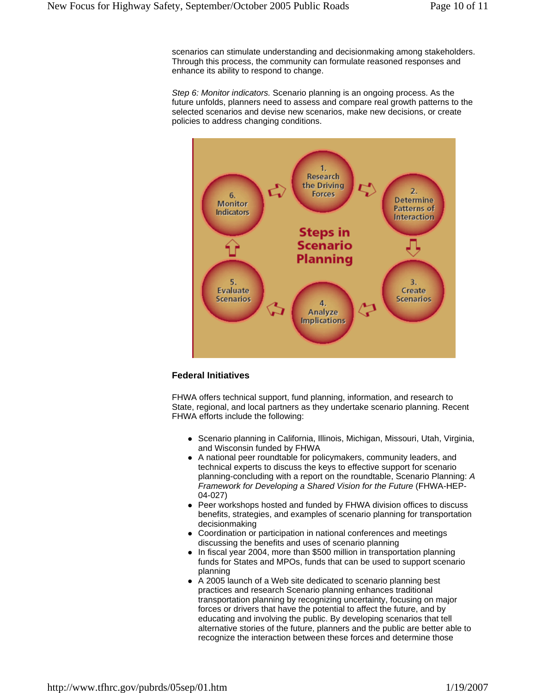scenarios can stimulate understanding and decisionmaking among stakeholders. Through this process, the community can formulate reasoned responses and enhance its ability to respond to change.

*Step 6: Monitor indicators.* Scenario planning is an ongoing process. As the future unfolds, planners need to assess and compare real growth patterns to the selected scenarios and devise new scenarios, make new decisions, or create policies to address changing conditions.



#### **Federal Initiatives**

FHWA offers technical support, fund planning, information, and research to State, regional, and local partners as they undertake scenario planning. Recent FHWA efforts include the following:

- Scenario planning in California, Illinois, Michigan, Missouri, Utah, Virginia, and Wisconsin funded by FHWA
- A national peer roundtable for policymakers, community leaders, and technical experts to discuss the keys to effective support for scenario planning-concluding with a report on the roundtable, Scenario Planning: *A Framework for Developing a Shared Vision for the Future* (FHWA-HEP-04-027)
- Peer workshops hosted and funded by FHWA division offices to discuss benefits, strategies, and examples of scenario planning for transportation decisionmaking
- Coordination or participation in national conferences and meetings discussing the benefits and uses of scenario planning
- In fiscal year 2004, more than \$500 million in transportation planning funds for States and MPOs, funds that can be used to support scenario planning
- A 2005 launch of a Web site dedicated to scenario planning best practices and research Scenario planning enhances traditional transportation planning by recognizing uncertainty, focusing on major forces or drivers that have the potential to affect the future, and by educating and involving the public. By developing scenarios that tell alternative stories of the future, planners and the public are better able to recognize the interaction between these forces and determine those